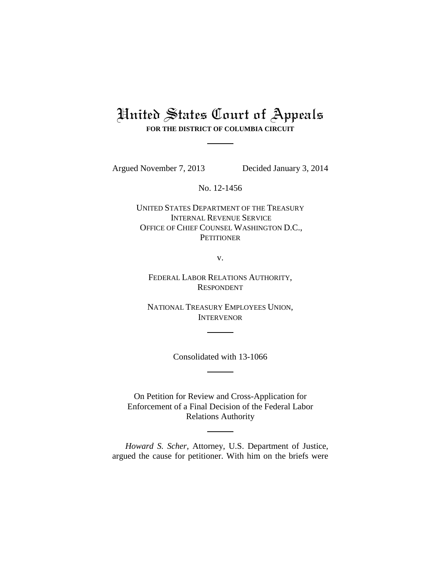## United States Court of Appeals **FOR THE DISTRICT OF COLUMBIA CIRCUIT**

Argued November 7, 2013 Decided January 3, 2014

No. 12-1456

UNITED STATES DEPARTMENT OF THE TREASURY INTERNAL REVENUE SERVICE OFFICE OF CHIEF COUNSEL WASHINGTON D.C., **PETITIONER** 

v.

FEDERAL LABOR RELATIONS AUTHORITY, RESPONDENT

NATIONAL TREASURY EMPLOYEES UNION, INTERVENOR

Consolidated with 13-1066

On Petition for Review and Cross-Application for Enforcement of a Final Decision of the Federal Labor Relations Authority

*Howard S. Scher*, Attorney, U.S. Department of Justice, argued the cause for petitioner. With him on the briefs were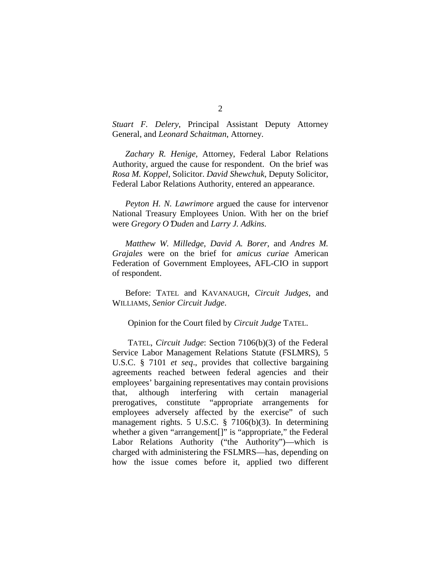*Stuart F. Delery*, Principal Assistant Deputy Attorney General, and *Leonard Schaitman*, Attorney.

*Zachary R. Henige*, Attorney, Federal Labor Relations Authority, argued the cause for respondent. On the brief was *Rosa M. Koppel*, Solicitor. *David Shewchuk*, Deputy Solicitor, Federal Labor Relations Authority, entered an appearance.

*Peyton H. N. Lawrimore* argued the cause for intervenor National Treasury Employees Union. With her on the brief were *Gregory O*=*Duden* and *Larry J. Adkins*.

*Matthew W. Milledge*, *David A. Borer*, and *Andres M. Grajales* were on the brief for *amicus curiae* American Federation of Government Employees, AFL-CIO in support of respondent.

Before: TATEL and KAVANAUGH, *Circuit Judges*, and WILLIAMS, *Senior Circuit Judge*.

Opinion for the Court filed by *Circuit Judge* TATEL.

TATEL, *Circuit Judge*: Section 7106(b)(3) of the Federal Service Labor Management Relations Statute (FSLMRS), 5 U.S.C. § 7101 *et seq*., provides that collective bargaining agreements reached between federal agencies and their employees' bargaining representatives may contain provisions that, although interfering with certain managerial prerogatives, constitute "appropriate arrangements for employees adversely affected by the exercise" of such management rights. 5 U.S.C. § 7106(b)(3). In determining whether a given "arrangement[]" is "appropriate," the Federal Labor Relations Authority ("the Authority")—which is charged with administering the FSLMRS—has, depending on how the issue comes before it, applied two different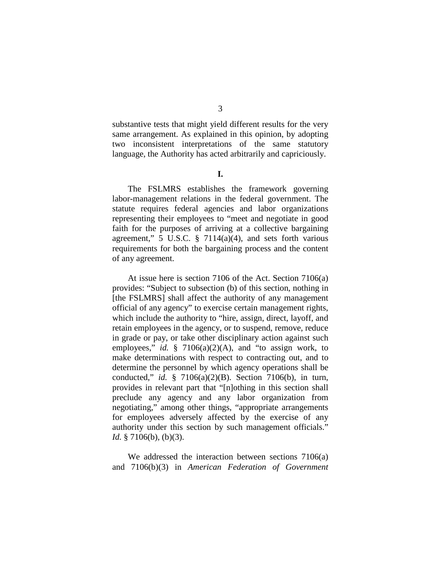substantive tests that might yield different results for the very same arrangement. As explained in this opinion, by adopting two inconsistent interpretations of the same statutory language, the Authority has acted arbitrarily and capriciously.

**I.**

The FSLMRS establishes the framework governing labor-management relations in the federal government. The statute requires federal agencies and labor organizations representing their employees to "meet and negotiate in good faith for the purposes of arriving at a collective bargaining agreement," 5 U.S.C.  $\S$  7114(a)(4), and sets forth various requirements for both the bargaining process and the content of any agreement.

At issue here is section 7106 of the Act. Section 7106(a) provides: "Subject to subsection (b) of this section, nothing in [the FSLMRS] shall affect the authority of any management official of any agency" to exercise certain management rights, which include the authority to "hire, assign, direct, layoff, and retain employees in the agency, or to suspend, remove, reduce in grade or pay, or take other disciplinary action against such employees," *id.* § 7106(a)(2)(A), and "to assign work, to make determinations with respect to contracting out, and to determine the personnel by which agency operations shall be conducted," *id.* § 7106(a)(2)(B). Section 7106(b), in turn, provides in relevant part that "[n]othing in this section shall preclude any agency and any labor organization from negotiating," among other things, "appropriate arrangements for employees adversely affected by the exercise of any authority under this section by such management officials." *Id.* § 7106(b), (b)(3).

We addressed the interaction between sections 7106(a) and 7106(b)(3) in *American Federation of Government*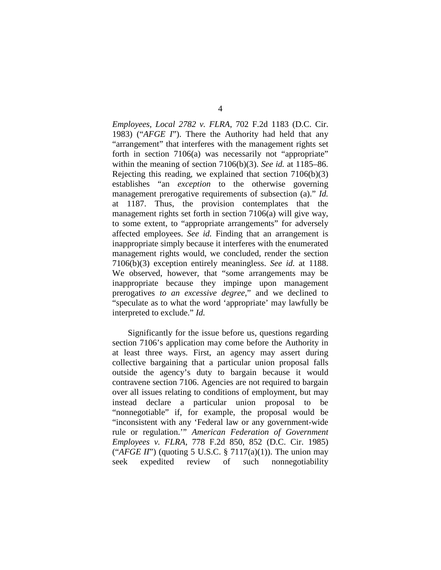*Employees, Local 2782 v. FLRA*, 702 F.2d 1183 (D.C. Cir. 1983) ("*AFGE I*"). There the Authority had held that any "arrangement" that interferes with the management rights set forth in section 7106(a) was necessarily not "appropriate" within the meaning of section 7106(b)(3). *See id.* at 1185–86. Rejecting this reading, we explained that section 7106(b)(3) establishes "an *exception* to the otherwise governing management prerogative requirements of subsection (a)." *Id.* at 1187. Thus, the provision contemplates that the management rights set forth in section 7106(a) will give way, to some extent, to "appropriate arrangements" for adversely affected employees. *See id.* Finding that an arrangement is inappropriate simply because it interferes with the enumerated management rights would, we concluded, render the section 7106(b)(3) exception entirely meaningless. *See id.* at 1188. We observed, however, that "some arrangements may be inappropriate because they impinge upon management prerogatives *to an excessive degree*," and we declined to "speculate as to what the word 'appropriate' may lawfully be interpreted to exclude." *Id.*

Significantly for the issue before us, questions regarding section 7106's application may come before the Authority in at least three ways. First, an agency may assert during collective bargaining that a particular union proposal falls outside the agency's duty to bargain because it would contravene section 7106. Agencies are not required to bargain over all issues relating to conditions of employment, but may instead declare a particular union proposal to be "nonnegotiable" if, for example, the proposal would be "inconsistent with any 'Federal law or any government-wide rule or regulation.'" *American Federation of Government Employees v. FLRA*, 778 F.2d 850, 852 (D.C. Cir. 1985) ("*AFGE II*") (quoting 5 U.S.C. § 7117(a)(1)). The union may seek expedited review of such nonnegotiability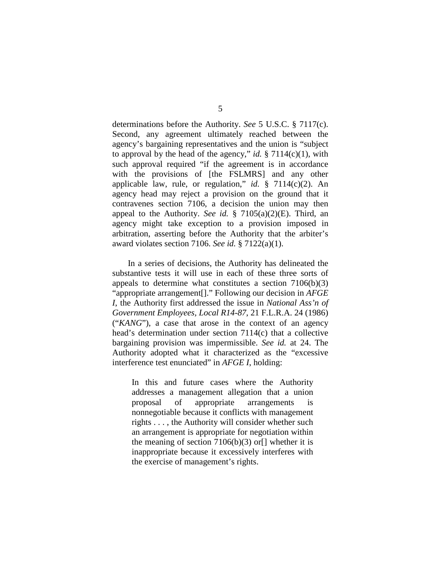determinations before the Authority. *See* 5 U.S.C. § 7117(c). Second, any agreement ultimately reached between the agency's bargaining representatives and the union is "subject to approval by the head of the agency," *id.* § 7114(c)(1), with such approval required "if the agreement is in accordance with the provisions of [the FSLMRS] and any other applicable law, rule, or regulation," *id.* § 7114(c)(2). An agency head may reject a provision on the ground that it contravenes section 7106, a decision the union may then appeal to the Authority. *See id.* § 7105(a)(2)(E). Third, an agency might take exception to a provision imposed in arbitration, asserting before the Authority that the arbiter's award violates section 7106. *See id.* § 7122(a)(1).

In a series of decisions, the Authority has delineated the substantive tests it will use in each of these three sorts of appeals to determine what constitutes a section  $7106(b)(3)$ "appropriate arrangement[]." Following our decision in *AFGE I*, the Authority first addressed the issue in *National Ass'n of Government Employees, Local R14-87*, 21 F.L.R.A. 24 (1986) ("*KANG*"), a case that arose in the context of an agency head's determination under section 7114(c) that a collective bargaining provision was impermissible. *See id.* at 24. The Authority adopted what it characterized as the "excessive interference test enunciated" in *AFGE I*, holding:

In this and future cases where the Authority addresses a management allegation that a union proposal of appropriate arrangements is nonnegotiable because it conflicts with management rights . . . , the Authority will consider whether such an arrangement is appropriate for negotiation within the meaning of section  $7106(b)(3)$  or  $\Box$  whether it is inappropriate because it excessively interferes with the exercise of management's rights.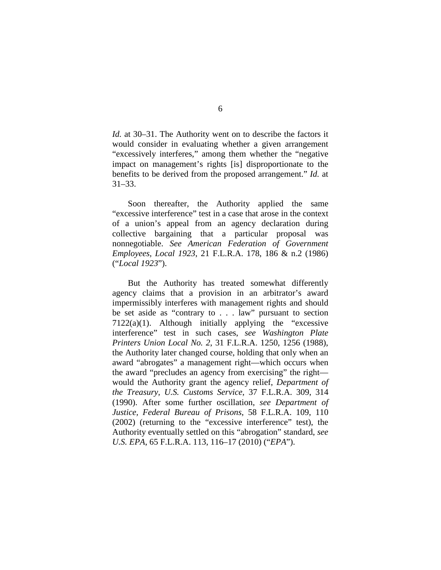*Id.* at 30–31. The Authority went on to describe the factors it would consider in evaluating whether a given arrangement "excessively interferes," among them whether the "negative impact on management's rights [is] disproportionate to the benefits to be derived from the proposed arrangement." *Id.* at 31–33.

Soon thereafter, the Authority applied the same "excessive interference" test in a case that arose in the context of a union's appeal from an agency declaration during collective bargaining that a particular proposal was nonnegotiable. *See American Federation of Government Employees, Local 1923*, 21 F.L.R.A. 178, 186 & n.2 (1986) ("*Local 1923*").

But the Authority has treated somewhat differently agency claims that a provision in an arbitrator's award impermissibly interferes with management rights and should be set aside as "contrary to . . . law" pursuant to section  $7122(a)(1)$ . Although initially applying the "excessive" interference" test in such cases, *see Washington Plate Printers Union Local No. 2*, 31 F.L.R.A. 1250, 1256 (1988), the Authority later changed course, holding that only when an award "abrogates" a management right—which occurs when the award "precludes an agency from exercising" the right would the Authority grant the agency relief, *Department of the Treasury, U.S. Customs Service*, 37 F.L.R.A. 309, 314 (1990). After some further oscillation, *see Department of Justice, Federal Bureau of Prisons*, 58 F.L.R.A. 109, 110 (2002) (returning to the "excessive interference" test), the Authority eventually settled on this "abrogation" standard, *see U.S. EPA*, 65 F.L.R.A. 113, 116–17 (2010) ("*EPA*").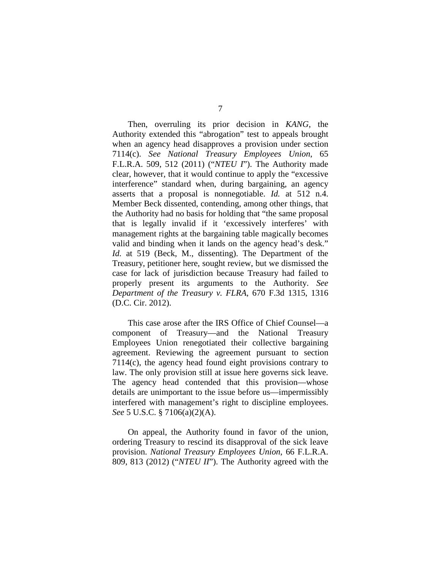Then, overruling its prior decision in *KANG*, the Authority extended this "abrogation" test to appeals brought when an agency head disapproves a provision under section 7114(c). *See National Treasury Employees Union*, 65 F.L.R.A. 509, 512 (2011) ("*NTEU I*"). The Authority made clear, however, that it would continue to apply the "excessive interference" standard when, during bargaining, an agency asserts that a proposal is nonnegotiable. *Id.* at 512 n.4. Member Beck dissented, contending, among other things, that the Authority had no basis for holding that "the same proposal that is legally invalid if it 'excessively interferes' with management rights at the bargaining table magically becomes valid and binding when it lands on the agency head's desk." *Id.* at 519 (Beck, M., dissenting). The Department of the Treasury, petitioner here, sought review, but we dismissed the case for lack of jurisdiction because Treasury had failed to properly present its arguments to the Authority. *See Department of the Treasury v. FLRA*, 670 F.3d 1315, 1316 (D.C. Cir. 2012).

This case arose after the IRS Office of Chief Counsel—a component of Treasury—and the National Treasury Employees Union renegotiated their collective bargaining agreement. Reviewing the agreement pursuant to section 7114(c), the agency head found eight provisions contrary to law. The only provision still at issue here governs sick leave. The agency head contended that this provision—whose details are unimportant to the issue before us—impermissibly interfered with management's right to discipline employees. *See* 5 U.S.C. § 7106(a)(2)(A).

On appeal, the Authority found in favor of the union, ordering Treasury to rescind its disapproval of the sick leave provision. *National Treasury Employees Union*, 66 F.L.R.A. 809, 813 (2012) ("*NTEU II*"). The Authority agreed with the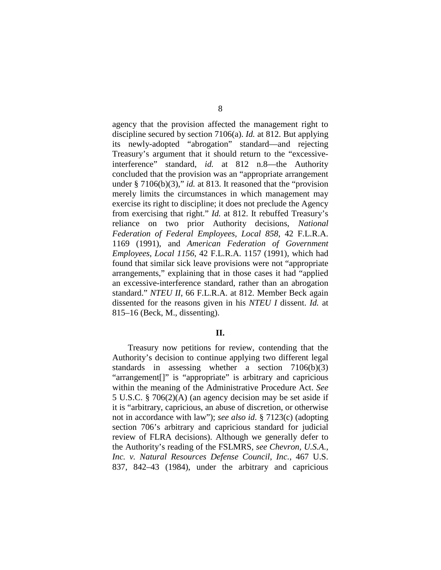agency that the provision affected the management right to discipline secured by section 7106(a). *Id.* at 812. But applying its newly-adopted "abrogation" standard—and rejecting Treasury's argument that it should return to the "excessiveinterference" standard, *id.* at 812 n.8—the Authority concluded that the provision was an "appropriate arrangement under § 7106(b)(3)," *id.* at 813. It reasoned that the "provision merely limits the circumstances in which management may exercise its right to discipline; it does not preclude the Agency from exercising that right." *Id.* at 812. It rebuffed Treasury's reliance on two prior Authority decisions, *National Federation of Federal Employees, Local 858*, 42 F.L.R.A. 1169 (1991), and *American Federation of Government Employees, Local 1156*, 42 F.L.R.A. 1157 (1991), which had found that similar sick leave provisions were not "appropriate arrangements," explaining that in those cases it had "applied an excessive-interference standard, rather than an abrogation standard." *NTEU II*, 66 F.L.R.A. at 812. Member Beck again dissented for the reasons given in his *NTEU I* dissent. *Id.* at 815–16 (Beck, M., dissenting).

## **II.**

Treasury now petitions for review, contending that the Authority's decision to continue applying two different legal standards in assessing whether a section 7106(b)(3) "arrangement[]" is "appropriate" is arbitrary and capricious within the meaning of the Administrative Procedure Act. *See* 5 U.S.C. § 706(2)(A) (an agency decision may be set aside if it is "arbitrary, capricious, an abuse of discretion, or otherwise not in accordance with law"); *see also id*. § 7123(c) (adopting section 706's arbitrary and capricious standard for judicial review of FLRA decisions). Although we generally defer to the Authority's reading of the FSLMRS, *see Chevron, U.S.A., Inc. v. Natural Resources Defense Council*, *Inc.*, 467 U.S. 837, 842–43 (1984), under the arbitrary and capricious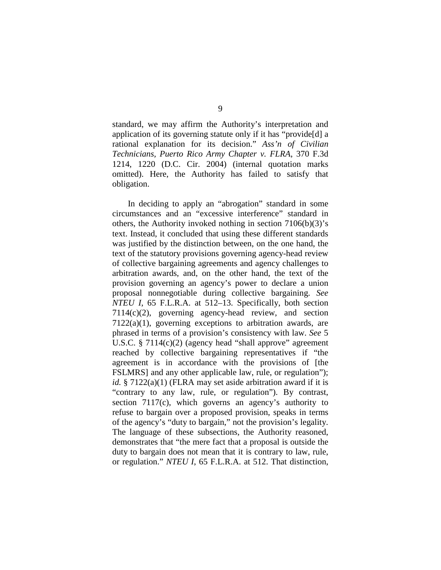standard, we may affirm the Authority's interpretation and application of its governing statute only if it has "provide[d] a rational explanation for its decision." *Ass'n of Civilian Technicians, Puerto Rico Army Chapter v. FLRA*, 370 F.3d 1214, 1220 (D.C. Cir. 2004) (internal quotation marks omitted). Here, the Authority has failed to satisfy that obligation.

In deciding to apply an "abrogation" standard in some circumstances and an "excessive interference" standard in others, the Authority invoked nothing in section 7106(b)(3)'s text. Instead, it concluded that using these different standards was justified by the distinction between, on the one hand, the text of the statutory provisions governing agency-head review of collective bargaining agreements and agency challenges to arbitration awards, and, on the other hand, the text of the provision governing an agency's power to declare a union proposal nonnegotiable during collective bargaining. *See NTEU I*, 65 F.L.R.A. at 512–13. Specifically, both section 7114(c)(2), governing agency-head review, and section  $7122(a)(1)$ , governing exceptions to arbitration awards, are phrased in terms of a provision's consistency with law. *See* 5 U.S.C. § 7114(c)(2) (agency head "shall approve" agreement reached by collective bargaining representatives if "the agreement is in accordance with the provisions of [the FSLMRS] and any other applicable law, rule, or regulation"); *id.* § 7122(a)(1) (FLRA may set aside arbitration award if it is "contrary to any law, rule, or regulation"). By contrast, section 7117(c), which governs an agency's authority to refuse to bargain over a proposed provision, speaks in terms of the agency's "duty to bargain," not the provision's legality. The language of these subsections, the Authority reasoned, demonstrates that "the mere fact that a proposal is outside the duty to bargain does not mean that it is contrary to law, rule, or regulation." *NTEU I*, 65 F.L.R.A. at 512. That distinction,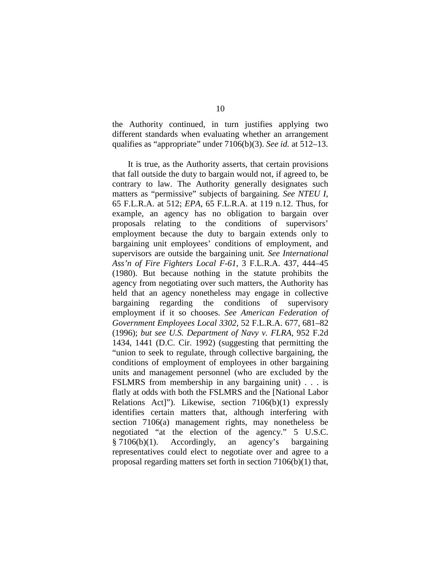the Authority continued, in turn justifies applying two different standards when evaluating whether an arrangement qualifies as "appropriate" under 7106(b)(3). *See id.* at 512–13.

It is true, as the Authority asserts, that certain provisions that fall outside the duty to bargain would not, if agreed to, be contrary to law. The Authority generally designates such matters as "permissive" subjects of bargaining. *See NTEU I*, 65 F.L.R.A. at 512; *EPA*, 65 F.L.R.A. at 119 n.12. Thus, for example, an agency has no obligation to bargain over proposals relating to the conditions of supervisors' employment because the duty to bargain extends only to bargaining unit employees' conditions of employment, and supervisors are outside the bargaining unit*. See International Ass'n of Fire Fighters Local F-61*, 3 F.L.R.A. 437, 444–45 (1980). But because nothing in the statute prohibits the agency from negotiating over such matters, the Authority has held that an agency nonetheless may engage in collective bargaining regarding the conditions of supervisory employment if it so chooses. *See American Federation of Government Employees Local 3302*, 52 F.L.R.A. 677, 681–82 (1996); *but see U.S. Department of Navy v. FLRA*, 952 F.2d 1434, 1441 (D.C. Cir. 1992) (suggesting that permitting the "union to seek to regulate, through collective bargaining, the conditions of employment of employees in other bargaining units and management personnel (who are excluded by the FSLMRS from membership in any bargaining unit) . . . is flatly at odds with both the FSLMRS and the [National Labor Relations Act]"). Likewise, section 7106(b)(1) expressly identifies certain matters that, although interfering with section 7106(a) management rights, may nonetheless be negotiated "at the election of the agency." 5 U.S.C. § 7106(b)(1). Accordingly, an agency's bargaining representatives could elect to negotiate over and agree to a proposal regarding matters set forth in section 7106(b)(1) that,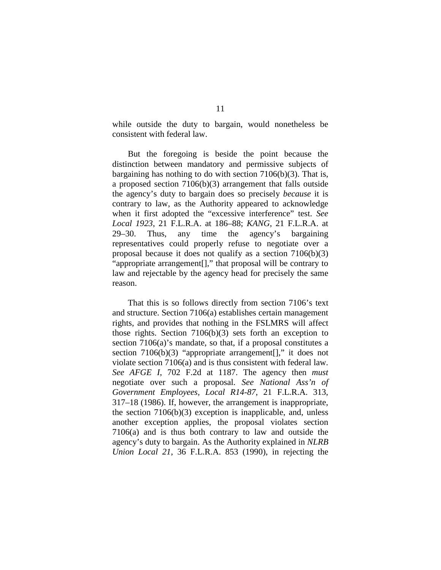while outside the duty to bargain, would nonetheless be consistent with federal law.

But the foregoing is beside the point because the distinction between mandatory and permissive subjects of bargaining has nothing to do with section 7106(b)(3). That is, a proposed section 7106(b)(3) arrangement that falls outside the agency's duty to bargain does so precisely *because* it is contrary to law, as the Authority appeared to acknowledge when it first adopted the "excessive interference" test. *See Local 1923*, 21 F.L.R.A. at 186–88; *KANG*, 21 F.L.R.A. at 29–30. Thus, any time the agency's bargaining representatives could properly refuse to negotiate over a proposal because it does not qualify as a section 7106(b)(3) "appropriate arrangement[]," that proposal will be contrary to law and rejectable by the agency head for precisely the same reason.

That this is so follows directly from section 7106's text and structure. Section 7106(a) establishes certain management rights, and provides that nothing in the FSLMRS will affect those rights. Section 7106(b)(3) sets forth an exception to section 7106(a)'s mandate, so that, if a proposal constitutes a section  $7106(b)(3)$  "appropriate arrangement[]," it does not violate section 7106(a) and is thus consistent with federal law. *See AFGE I*, 702 F.2d at 1187. The agency then *must*  negotiate over such a proposal. *See National Ass'n of Government Employees, Local R14-87*, 21 F.L.R.A. 313, 317–18 (1986). If, however, the arrangement is inappropriate, the section 7106(b)(3) exception is inapplicable, and, unless another exception applies, the proposal violates section 7106(a) and is thus both contrary to law and outside the agency's duty to bargain. As the Authority explained in *NLRB Union Local 21*, 36 F.L.R.A. 853 (1990), in rejecting the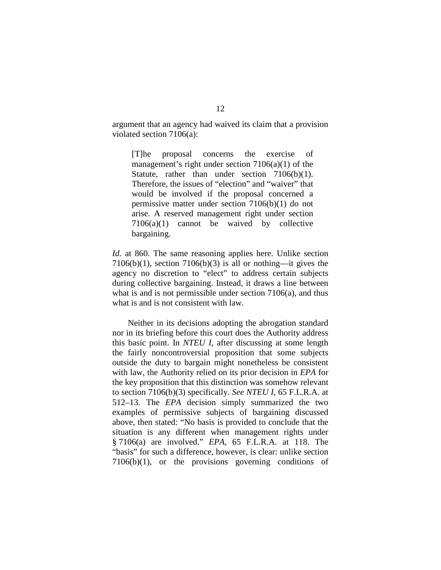argument that an agency had waived its claim that a provision violated section 7106(a):

[T]he proposal concerns the exercise of management's right under section  $7106(a)(1)$  of the Statute, rather than under section 7106(b)(1). Therefore, the issues of "election" and "waiver" that would be involved if the proposal concerned a permissive matter under section 7106(b)(1) do not arise. A reserved management right under section 7106(a)(1) cannot be waived by collective bargaining.

*Id.* at 860. The same reasoning applies here. Unlike section 7106(b)(1), section 7106(b)(3) is all or nothing—it gives the agency no discretion to "elect" to address certain subjects during collective bargaining. Instead, it draws a line between what is and is not permissible under section 7106(a), and thus what is and is not consistent with law.

Neither in its decisions adopting the abrogation standard nor in its briefing before this court does the Authority address this basic point. In *NTEU I*, after discussing at some length the fairly noncontroversial proposition that some subjects outside the duty to bargain might nonetheless be consistent with law, the Authority relied on its prior decision in *EPA* for the key proposition that this distinction was somehow relevant to section 7106(b)(3) specifically. *See NTEU I*, 65 F.L.R.A. at 512–13. The *EPA* decision simply summarized the two examples of permissive subjects of bargaining discussed above, then stated: "No basis is provided to conclude that the situation is any different when management rights under § 7106(a) are involved." *EPA*, 65 F.L.R.A. at 118. The "basis" for such a difference, however, is clear: unlike section 7106(b)(1), or the provisions governing conditions of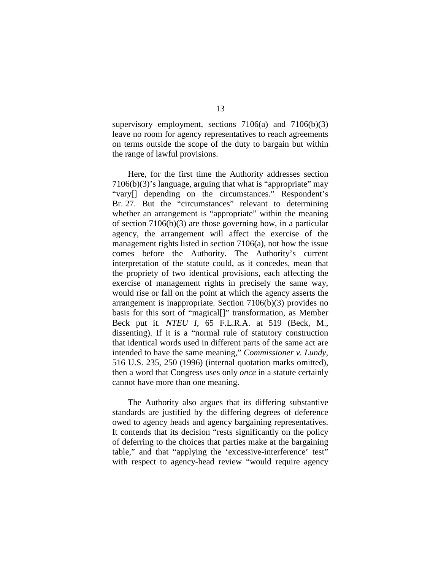supervisory employment, sections  $7106(a)$  and  $7106(b)(3)$ leave no room for agency representatives to reach agreements on terms outside the scope of the duty to bargain but within the range of lawful provisions.

Here, for the first time the Authority addresses section 7106(b)(3)'s language, arguing that what is "appropriate" may "vary[] depending on the circumstances." Respondent's Br. 27. But the "circumstances" relevant to determining whether an arrangement is "appropriate" within the meaning of section 7106(b)(3) are those governing how, in a particular agency, the arrangement will affect the exercise of the management rights listed in section 7106(a), not how the issue comes before the Authority. The Authority's current interpretation of the statute could, as it concedes, mean that the propriety of two identical provisions, each affecting the exercise of management rights in precisely the same way, would rise or fall on the point at which the agency asserts the arrangement is inappropriate. Section 7106(b)(3) provides no basis for this sort of "magical[]" transformation, as Member Beck put it. *NTEU I*, 65 F.L.R.A. at 519 (Beck, M., dissenting). If it is a "normal rule of statutory construction that identical words used in different parts of the same act are intended to have the same meaning," *Commissioner v. Lundy*, 516 U.S. 235, 250 (1996) (internal quotation marks omitted), then a word that Congress uses only *once* in a statute certainly cannot have more than one meaning.

The Authority also argues that its differing substantive standards are justified by the differing degrees of deference owed to agency heads and agency bargaining representatives. It contends that its decision "rests significantly on the policy of deferring to the choices that parties make at the bargaining table," and that "applying the 'excessive-interference' test" with respect to agency-head review "would require agency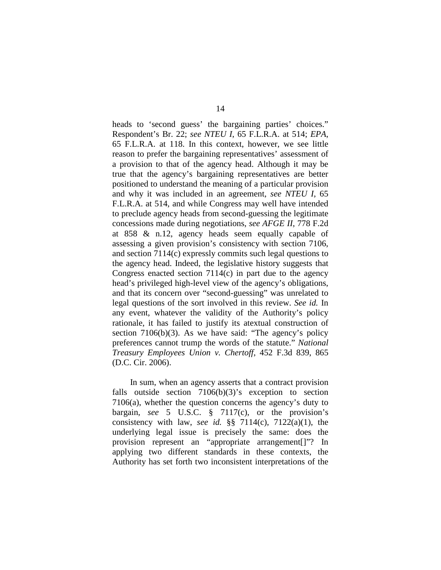heads to 'second guess' the bargaining parties' choices." Respondent's Br. 22; *see NTEU I*, 65 F.L.R.A. at 514; *EPA*, 65 F.L.R.A. at 118. In this context, however, we see little reason to prefer the bargaining representatives' assessment of a provision to that of the agency head. Although it may be true that the agency's bargaining representatives are better positioned to understand the meaning of a particular provision and why it was included in an agreement, *see NTEU I*, 65 F.L.R.A. at 514, and while Congress may well have intended to preclude agency heads from second-guessing the legitimate concessions made during negotiations, *see AFGE II*, 778 F.2d at 858 & n.12, agency heads seem equally capable of assessing a given provision's consistency with section 7106, and section 7114(c) expressly commits such legal questions to the agency head. Indeed, the legislative history suggests that Congress enacted section 7114(c) in part due to the agency head's privileged high-level view of the agency's obligations, and that its concern over "second-guessing" was unrelated to legal questions of the sort involved in this review. *See id.* In any event, whatever the validity of the Authority's policy rationale, it has failed to justify its atextual construction of section 7106(b)(3). As we have said: "The agency's policy preferences cannot trump the words of the statute." *National Treasury Employees Union v. Chertoff*, 452 F.3d 839, 865 (D.C. Cir. 2006).

In sum, when an agency asserts that a contract provision falls outside section 7106(b)(3)'s exception to section 7106(a), whether the question concerns the agency's duty to bargain, *see* 5 U.S.C. § 7117(c), or the provision's consistency with law, *see id.* §§ 7114(c), 7122(a)(1), the underlying legal issue is precisely the same: does the provision represent an "appropriate arrangement[]"? In applying two different standards in these contexts, the Authority has set forth two inconsistent interpretations of the